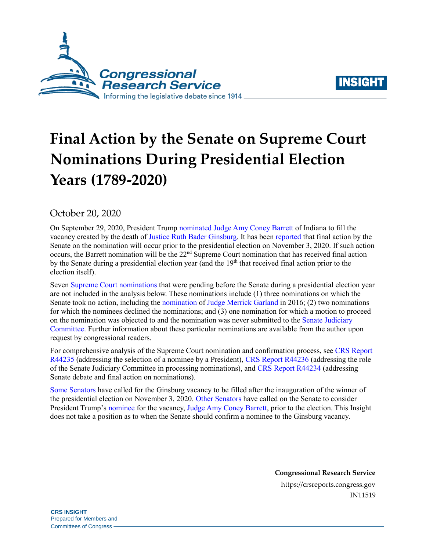



# **Final Action by the Senate on Supreme Court Nominations During Presidential Election Years (1789-2020)**

October 20, 2020

On September 29, 2020, President Trump [nominated](https://www.cnn.com/2020/09/26/politics/amy-coney-barrett-supreme-court-nominee/index.html) [Judge Amy Coney Barrett](https://www.fjc.gov/history/judges/barrett-amy-coney) of Indiana to fill the vacancy created by the death o[f Justice Ruth Bader Ginsburg.](https://www.fjc.gov/history/judges/ginsburg-ruth-bader) It has been [reported](https://www.nytimes.com/2020/10/15/us/politics/amy-coney-barrett-hearing.html) that final action by the Senate on the nomination will occur prior to the presidential election on November 3, 2020. If such action occurs, the Barrett nomination will be the 22<sup>nd</sup> Supreme Court nomination that has received final action by the Senate during a presidential election year (and the  $19<sup>th</sup>$  that received final action prior to the election itself).

Seven [Supreme Court nominations](https://crsreports.congress.gov/product/pdf/RL/RL33225) that were pending before the Senate during a presidential election year are not included in the analysis below. These nominations include (1) three nominations on which the Senate took no action, including the [nomination](https://www.npr.org/2018/06/29/624467256/what-happened-with-merrick-garland-in-2016-and-why-it-matters-now) of [Judge Merrick Garland](https://www.fjc.gov/history/judges/garland-merrick-b) in 2016; (2) two nominations for which the nominees declined the nominations; and (3) one nomination for which a motion to proceed on the nomination was objected to and the nomination was never submitted to the [Senate Judiciary](https://www.judiciary.senate.gov/)  [Committee.](https://www.judiciary.senate.gov/) Further information about these particular nominations are available from the author upon request by congressional readers.

For comprehensive analysis of the Supreme Court nomination and confirmation process, se[e CRS Report](https://crsreports.congress.gov/product/pdf/R/R44235)  [R44235](https://crsreports.congress.gov/product/pdf/R/R44235) (addressing the selection of a nominee by a President)[, CRS Report R44236](https://crsreports.congress.gov/product/pdf/R/R44236) (addressing the role of the Senate Judiciary Committee in processing nominations), and [CRS Report R44234](https://crsreports.congress.gov/product/pdf/R/R44234) (addressing Senate debate and final action on nominations).

[Some Senators](https://www.feinstein.senate.gov/public/index.cfm/press-releases?ID=669E1260-4F26-4605-B178-BD8B448F2EFE) have called for the Ginsburg vacancy to be filled after the inauguration of the winner of the presidential election on November 3, 2020. [Other Senators](https://thehill.com/homenews/senate/517500-graham-gop-will-confirm-trumps-supreme-court-nominee-before-the-election) have called on the Senate to consider President Trump'[s nominee](https://www.cnn.com/2020/09/26/politics/amy-coney-barrett-supreme-court-nominee/index.html) for the vacancy, [Judge Amy Coney Barrett,](https://www.fjc.gov/history/judges/barrett-amy-coney) prior to the election. This Insight does not take a position as to when the Senate should confirm a nominee to the Ginsburg vacancy.

> **Congressional Research Service** https://crsreports.congress.gov IN11519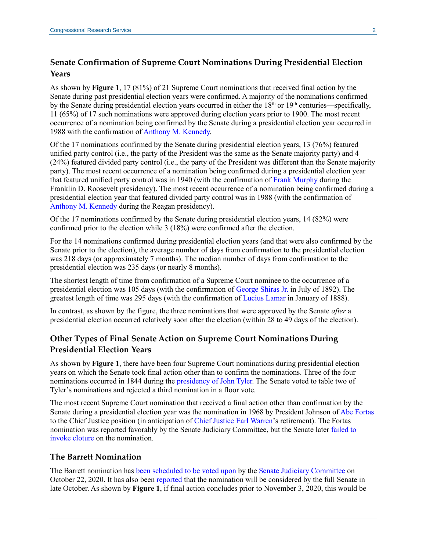## **Senate Confirmation of Supreme Court Nominations During Presidential Election Years**

As shown by **[Figure 1](#page-2-0)**, 17 (81%) of 21 Supreme Court nominations that received final action by the Senate during past presidential election years were confirmed. A majority of the nominations confirmed by the Senate during presidential election years occurred in either the 18<sup>th</sup> or 19<sup>th</sup> centuries—specifically, 11 (65%) of 17 such nominations were approved during election years prior to 1900. The most recent occurrence of a nomination being confirmed by the Senate during a presidential election year occurred in 1988 with the confirmation of [Anthony M. Kennedy.](https://www.fjc.gov/history/judges/kennedy-anthony-mcleod)

Of the 17 nominations confirmed by the Senate during presidential election years, 13 (76%) featured unified party control (i.e., the party of the President was the same as the Senate majority party) and 4 (24%) featured divided party control (i.e., the party of the President was different than the Senate majority party). The most recent occurrence of a nomination being confirmed during a presidential election year that featured unified party control was in 1940 (with the confirmation of [Frank Murphy](https://www.fjc.gov/history/judges/murphy-frank) during the Franklin D. Roosevelt presidency). The most recent occurrence of a nomination being confirmed during a presidential election year that featured divided party control was in 1988 (with the confirmation of [Anthony M. Kennedy](https://www.fjc.gov/history/judges/kennedy-anthony-mcleod) during the Reagan presidency).

Of the 17 nominations confirmed by the Senate during presidential election years, 14 (82%) were confirmed prior to the election while 3 (18%) were confirmed after the election.

For the 14 nominations confirmed during presidential election years (and that were also confirmed by the Senate prior to the election), the average number of days from confirmation to the presidential election was 218 days (or approximately 7 months). The median number of days from confirmation to the presidential election was 235 days (or nearly 8 months).

The shortest length of time from confirmation of a Supreme Court nominee to the occurrence of a presidential election was 105 days (with the confirmation of [George Shiras Jr.](https://www.fjc.gov/history/judges/shiras-george-jr) in July of 1892). The greatest length of time was 295 days (with the confirmation of [Lucius Lamar](https://www.fjc.gov/history/judges/lamar-lucius-quintus-cincinnatus) in January of 1888).

In contrast, as shown by the figure, the three nominations that were approved by the Senate *after* a presidential election occurred relatively soon after the election (within 28 to 49 days of the election).

## **Other Types of Final Senate Action on Supreme Court Nominations During Presidential Election Years**

As shown by **[Figure 1](#page-2-0)**, there have been four Supreme Court nominations during presidential election years on which the Senate took final action other than to confirm the nominations. Three of the four nominations occurred in 1844 during the [presidency of John](https://millercenter.org/president/tyler/impact-and-legacy) Tyler. The Senate voted to table two of Tyler's nominations and rejected a third nomination in a floor vote.

The most recent Supreme Court nomination that received a final action other than confirmation by the Senate during a presidential election year was the nomination in 1968 by President Johnson o[f Abe Fortas](https://www.fjc.gov/history/judges/fortas-abe) to the Chief Justice position (in anticipation of [Chief Justice Earl Warren'](https://www.fjc.gov/history/judges/warren-earl)s retirement). The Fortas nomination was reported favorably by the Senate Judiciary Committee, but the Senate later [failed to](https://www.senate.gov/artandhistory/history/minute/Filibuster_Derails_Supreme_Court_Appointment.htm)  [invoke cloture](https://www.senate.gov/artandhistory/history/minute/Filibuster_Derails_Supreme_Court_Appointment.htm) on the nomination.

#### **The Barrett Nomination**

The Barrett nomination has [been scheduled to be voted upon](https://www.judiciary.senate.gov/meetings/10/22/2020/executive-business-meeting) by the [Senate Judiciary Committee](https://www.judiciary.senate.gov/) on October 22, 2020. It has also been [reported](https://www.nytimes.com/2020/10/15/us/politics/amy-coney-barrett-hearing.html) that the nomination will be considered by the full Senate in late October. As shown by **[Figure 1](#page-2-0)**, if final action concludes prior to November 3, 2020, this would be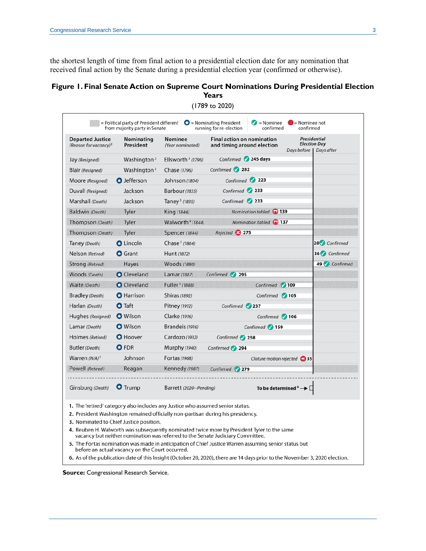the shortest length of time from final action to a presidential election date for any nomination that received final action by the Senate during a presidential election year (confirmed or otherwise).

#### <span id="page-2-0"></span>**Figure 1. Final Senate Action on Supreme Court Nominations During Presidential Election Years**

| <b>Departed Justice</b><br>(Reason for vacancy) <sup>1</sup> | Nominating<br>President                                                                                                   | Nominee<br>(Year nominated)  | <b>Final action on nomination</b><br>and timing around election<br>Days before                                                                                                                                                                                  | Presidential<br><b>Election Day</b><br>Days after |
|--------------------------------------------------------------|---------------------------------------------------------------------------------------------------------------------------|------------------------------|-----------------------------------------------------------------------------------------------------------------------------------------------------------------------------------------------------------------------------------------------------------------|---------------------------------------------------|
| Jay (Resigned)                                               | Washington <sup>2</sup>                                                                                                   | Ellsworth $3(1796)$          | Confirmed 245 days                                                                                                                                                                                                                                              |                                                   |
| Blair (Resigned)                                             | Washington <sup>2</sup>                                                                                                   | Chase (1796)                 | Confirmed 282                                                                                                                                                                                                                                                   |                                                   |
| Moore (Resigned)                                             | <b>O</b> Jefferson                                                                                                        | Johnson (1804)               | Confirmed 223                                                                                                                                                                                                                                                   |                                                   |
| Duvall (Resigned)                                            | Jackson                                                                                                                   | Barbour (1835)               | Confirmed 233                                                                                                                                                                                                                                                   |                                                   |
| Marshall (Death)                                             | Jackson                                                                                                                   | Taney <sup>3</sup> (1835)    | Confirmed 233                                                                                                                                                                                                                                                   |                                                   |
| <b>Baldwin</b> (Death)                                       | Tyler                                                                                                                     | King (1844)                  | Nomination tabled 139                                                                                                                                                                                                                                           |                                                   |
| Thompson (Death)                                             | Tyler                                                                                                                     | Walworth <sup>4</sup> (1844) | Nomination tabled 137                                                                                                                                                                                                                                           |                                                   |
| Thompson (Death)                                             | Tyler                                                                                                                     | Spencer (1844)               | Rejected <b>3 275</b>                                                                                                                                                                                                                                           |                                                   |
| Taney (Death)                                                | <b>O</b> Lincoln                                                                                                          | Chase <sup>3</sup> (1864)    |                                                                                                                                                                                                                                                                 | 28 Confirmed                                      |
| Nelson (Retired)                                             | <b>O</b> Grant                                                                                                            | Hunt (1872)                  |                                                                                                                                                                                                                                                                 | 36 Confirmed                                      |
| Strong (Retired)                                             | <b>Hayes</b>                                                                                                              | Woods (1880)                 |                                                                                                                                                                                                                                                                 | 49 Confirmed                                      |
| Woods (Death)                                                | <b>O</b> Cleveland                                                                                                        | Lamar (1887)                 | Confirmed<br>295                                                                                                                                                                                                                                                |                                                   |
| Waite (Death)                                                | <b>O</b> Cleveland                                                                                                        | Fuller <sup>3</sup> (1888)   | $\sqrt{109}$<br>Confirmed                                                                                                                                                                                                                                       |                                                   |
| Bradley (Death)                                              | <b>O</b> Harrison                                                                                                         | Shiras (1892)                | Confirmed 105                                                                                                                                                                                                                                                   |                                                   |
| Harlan (Death)                                               | <b>O</b> Taft                                                                                                             | Pitney (1912)                | Confirmed 237                                                                                                                                                                                                                                                   |                                                   |
| Hughes (Resigned)                                            | <b>O</b> Wilson                                                                                                           | Clarke (1916)                | Confirmed 106                                                                                                                                                                                                                                                   |                                                   |
| Lamar (Death)                                                | <b>O</b> Wilson                                                                                                           | Brandeis (1916)              | Confirmed 159                                                                                                                                                                                                                                                   |                                                   |
| Holmes (Retired)                                             | <b>O</b> Hoover                                                                                                           | Cardozo (1932)               | Confirmed 258                                                                                                                                                                                                                                                   |                                                   |
| Butler (Death)                                               | <b>O</b> FDR                                                                                                              | Murphy (1940)                | Confirmed 294                                                                                                                                                                                                                                                   |                                                   |
| Warren $(N/A)^5$                                             | Johnson                                                                                                                   | Fortas (1968)                | Cloture motion rejected <sup>1</sup> 35                                                                                                                                                                                                                         |                                                   |
| Powell (Retired)                                             | Reagan                                                                                                                    | <b>Kennedy</b> (1987)        | Confirmed 279                                                                                                                                                                                                                                                   |                                                   |
| Ginsburg (Death)                                             | $\bullet$ Trump                                                                                                           | Barrett (2020--Pending)      | To be determined $^6\rightarrow \Box$                                                                                                                                                                                                                           |                                                   |
|                                                              | 1. The 'retired' category also includes any Justice who assumed senior status.<br>3. Nominated to Chief Justice position. |                              | 2. President Washington remained officially non-partisan during his presidency.<br>4. Reuben H. Walworth was subsequently nominated twice more by President Tyler to the same<br>vacancy but neither nomination was referred to the Senate Judiciary Committee. |                                                   |

(1789 to 2020)

6. As of the publication date of this Insight (October 20, 2020), there are 14 days prior to the November 3, 2020 election.

**Source:** Congressional Research Service.

before an actual vacancy on the Court occurred.